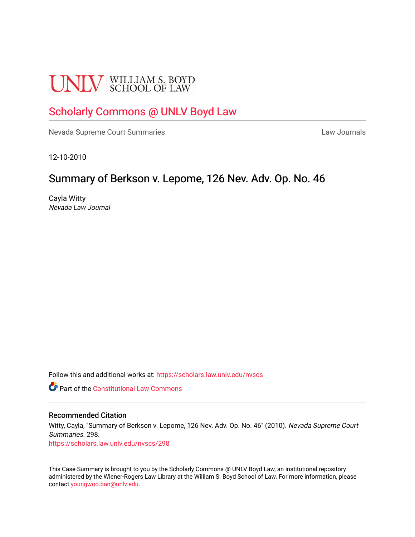# **UNLV** SCHOOL OF LAW

# [Scholarly Commons @ UNLV Boyd Law](https://scholars.law.unlv.edu/)

[Nevada Supreme Court Summaries](https://scholars.law.unlv.edu/nvscs) **Law Journals** Law Journals

12-10-2010

# Summary of Berkson v. Lepome, 126 Nev. Adv. Op. No. 46

Cayla Witty Nevada Law Journal

Follow this and additional works at: [https://scholars.law.unlv.edu/nvscs](https://scholars.law.unlv.edu/nvscs?utm_source=scholars.law.unlv.edu%2Fnvscs%2F298&utm_medium=PDF&utm_campaign=PDFCoverPages)

**C** Part of the Constitutional Law Commons

## Recommended Citation

Witty, Cayla, "Summary of Berkson v. Lepome, 126 Nev. Adv. Op. No. 46" (2010). Nevada Supreme Court Summaries. 298.

[https://scholars.law.unlv.edu/nvscs/298](https://scholars.law.unlv.edu/nvscs/298?utm_source=scholars.law.unlv.edu%2Fnvscs%2F298&utm_medium=PDF&utm_campaign=PDFCoverPages)

This Case Summary is brought to you by the Scholarly Commons @ UNLV Boyd Law, an institutional repository administered by the Wiener-Rogers Law Library at the William S. Boyd School of Law. For more information, please contact [youngwoo.ban@unlv.edu](mailto:youngwoo.ban@unlv.edu).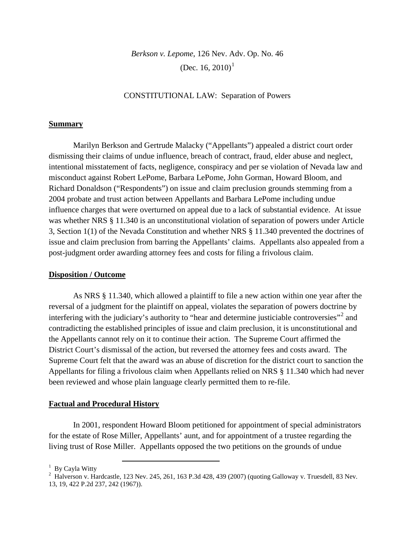*Berkson v. Lepome*, 126 Nev. Adv. Op. No. 46 (Dec. [1](#page-1-0)6, 2010)<sup>1</sup>

# CONSTITUTIONAL LAW: Separation of Powers

#### **Summary**

Marilyn Berkson and Gertrude Malacky ("Appellants") appealed a district court order dismissing their claims of undue influence, breach of contract, fraud, elder abuse and neglect, intentional misstatement of facts, negligence, conspiracy and per se violation of Nevada law and misconduct against Robert LePome, Barbara LePome, John Gorman, Howard Bloom, and Richard Donaldson ("Respondents") on issue and claim preclusion grounds stemming from a 2004 probate and trust action between Appellants and Barbara LePome including undue influence charges that were overturned on appeal due to a lack of substantial evidence. At issue was whether NRS § 11.340 is an unconstitutional violation of separation of powers under Article 3, Section 1(1) of the Nevada Constitution and whether NRS § 11.340 prevented the doctrines of issue and claim preclusion from barring the Appellants' claims. Appellants also appealed from a post-judgment order awarding attorney fees and costs for filing a frivolous claim.

#### **Disposition / Outcome**

As NRS § 11.340, which allowed a plaintiff to file a new action within one year after the reversal of a judgment for the plaintiff on appeal, violates the separation of powers doctrine by interfering with the judiciary's authority to "hear and determine justiciable controversies"<sup>[2](#page-1-1)</sup> and contradicting the established principles of issue and claim preclusion, it is unconstitutional and the Appellants cannot rely on it to continue their action. The Supreme Court affirmed the District Court's dismissal of the action, but reversed the attorney fees and costs award. The Supreme Court felt that the award was an abuse of discretion for the district court to sanction the Appellants for filing a frivolous claim when Appellants relied on NRS § 11.340 which had never been reviewed and whose plain language clearly permitted them to re-file.

#### **Factual and Procedural History**

In 2001, respondent Howard Bloom petitioned for appointment of special administrators for the estate of Rose Miller, Appellants' aunt, and for appointment of a trustee regarding the living trust of Rose Miller. Appellants opposed the two petitions on the grounds of undue

<span id="page-1-1"></span><span id="page-1-0"></span><sup>&</sup>lt;sup>1</sup> By Cayla Witty<br><sup>2</sup> Halverson v. Hardcastle, 123 Nev. 245, 261, 163 P.3d 428, 439 (2007) (quoting Galloway v. Truesdell, 83 Nev. 13, 19, 422 P.2d 237, 242 (1967)).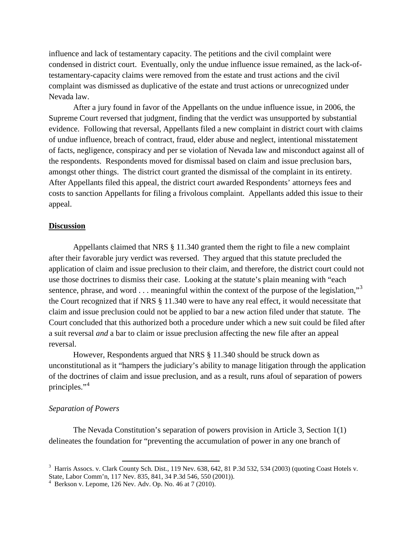influence and lack of testamentary capacity. The petitions and the civil complaint were condensed in district court. Eventually, only the undue influence issue remained, as the lack-oftestamentary-capacity claims were removed from the estate and trust actions and the civil complaint was dismissed as duplicative of the estate and trust actions or unrecognized under Nevada law.

After a jury found in favor of the Appellants on the undue influence issue, in 2006, the Supreme Court reversed that judgment, finding that the verdict was unsupported by substantial evidence. Following that reversal, Appellants filed a new complaint in district court with claims of undue influence, breach of contract, fraud, elder abuse and neglect, intentional misstatement of facts, negligence, conspiracy and per se violation of Nevada law and misconduct against all of the respondents. Respondents moved for dismissal based on claim and issue preclusion bars, amongst other things. The district court granted the dismissal of the complaint in its entirety. After Appellants filed this appeal, the district court awarded Respondents' attorneys fees and costs to sanction Appellants for filing a frivolous complaint. Appellants added this issue to their appeal.

# **Discussion**

Appellants claimed that NRS § 11.340 granted them the right to file a new complaint after their favorable jury verdict was reversed. They argued that this statute precluded the application of claim and issue preclusion to their claim, and therefore, the district court could not use those doctrines to dismiss their case. Looking at the statute's plain meaning with "each sentence, phrase, and word  $\dots$  meaningful within the context of the purpose of the legislation,"<sup>[3](#page-2-0)</sup> the Court recognized that if NRS § 11.340 were to have any real effect, it would necessitate that claim and issue preclusion could not be applied to bar a new action filed under that statute. The Court concluded that this authorized both a procedure under which a new suit could be filed after a suit reversal *and* a bar to claim or issue preclusion affecting the new file after an appeal reversal.

However, Respondents argued that NRS § 11.340 should be struck down as unconstitutional as it "hampers the judiciary's ability to manage litigation through the application of the doctrines of claim and issue preclusion, and as a result, runs afoul of separation of powers principles." [4](#page-2-1)

#### *Separation of Powers*

The Nevada Constitution's separation of powers provision in Article 3, Section 1(1) delineates the foundation for "preventing the accumulation of power in any one branch of

<span id="page-2-0"></span><sup>&</sup>lt;sup>3</sup> Harris Assocs. v. Clark County Sch. Dist., 119 Nev. 638, 642, 81 P.3d 532, 534 (2003) (quoting Coast Hotels v. State, Labor Comm'n, 117 Nev. 835, 841, 34 P.3d 546, 550 (2001)).<br><sup>4</sup> Berkson v. Lepome, 126 Nev. Adv. Op. No. 46 at 7 (2010).

<span id="page-2-1"></span>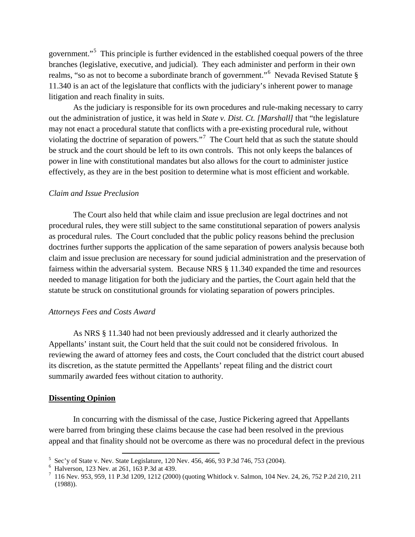government."<sup>[5](#page-3-0)</sup> This principle is further evidenced in the established coequal powers of the three branches (legislative, executive, and judicial). They each administer and perform in their own realms, "so as not to become a subordinate branch of government."<sup>[6](#page-3-1)</sup> Nevada Revised Statute § 11.340 is an act of the legislature that conflicts with the judiciary's inherent power to manage litigation and reach finality in suits.

As the judiciary is responsible for its own procedures and rule-making necessary to carry out the administration of justice, it was held in *State v. Dist. Ct. [Marshall]* that "the legislature may not enact a procedural statute that conflicts with a pre-existing procedural rule, without violating the doctrine of separation of powers."<sup>[7](#page-3-2)</sup> The Court held that as such the statute should be struck and the court should be left to its own controls. This not only keeps the balances of power in line with constitutional mandates but also allows for the court to administer justice effectively, as they are in the best position to determine what is most efficient and workable.

#### *Claim and Issue Preclusion*

The Court also held that while claim and issue preclusion are legal doctrines and not procedural rules, they were still subject to the same constitutional separation of powers analysis as procedural rules. The Court concluded that the public policy reasons behind the preclusion doctrines further supports the application of the same separation of powers analysis because both claim and issue preclusion are necessary for sound judicial administration and the preservation of fairness within the adversarial system. Because NRS § 11.340 expanded the time and resources needed to manage litigation for both the judiciary and the parties, the Court again held that the statute be struck on constitutional grounds for violating separation of powers principles.

### *Attorneys Fees and Costs Award*

As NRS § 11.340 had not been previously addressed and it clearly authorized the Appellants' instant suit, the Court held that the suit could not be considered frivolous. In reviewing the award of attorney fees and costs, the Court concluded that the district court abused its discretion, as the statute permitted the Appellants' repeat filing and the district court summarily awarded fees without citation to authority.

#### **Dissenting Opinion**

In concurring with the dismissal of the case, Justice Pickering agreed that Appellants were barred from bringing these claims because the case had been resolved in the previous appeal and that finality should not be overcome as there was no procedural defect in the previous

<span id="page-3-2"></span>

<span id="page-3-1"></span><span id="page-3-0"></span><sup>&</sup>lt;sup>5</sup> Sec'y of State v. Nev. State Legislature, 120 Nev. 456, 466, 93 P.3d 746, 753 (2004).<br>
<sup>6</sup> Halverson, 123 Nev. at 261, 163 P.3d at 439.<br>
<sup>7</sup> 116 Nev. 953, 959, 11 P.3d 1209, 1212 (2000) (quoting Whitlock v. Salmon, 10 (1988)).